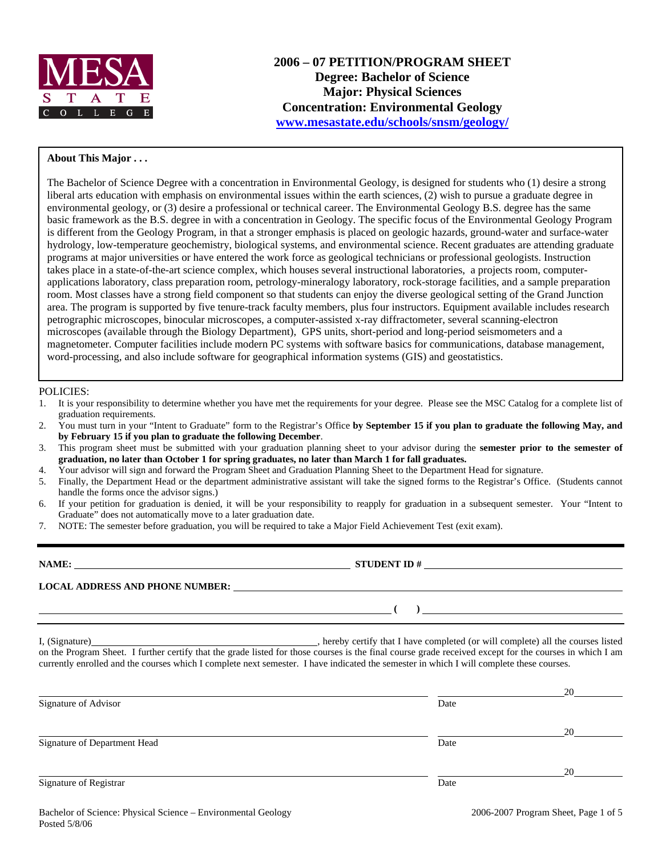

### **About This Major . . .**

The Bachelor of Science Degree with a concentration in Environmental Geology, is designed for students who (1) desire a strong liberal arts education with emphasis on environmental issues within the earth sciences, (2) wish to pursue a graduate degree in environmental geology, or (3) desire a professional or technical career. The Environmental Geology B.S. degree has the same basic framework as the B.S. degree in with a concentration in Geology. The specific focus of the Environmental Geology Program is different from the Geology Program, in that a stronger emphasis is placed on geologic hazards, ground-water and surface-water hydrology, low-temperature geochemistry, biological systems, and environmental science. Recent graduates are attending graduate programs at major universities or have entered the work force as geological technicians or professional geologists. Instruction takes place in a state-of-the-art science complex, which houses several instructional laboratories, a projects room, computerapplications laboratory, class preparation room, petrology-mineralogy laboratory, rock-storage facilities, and a sample preparation room. Most classes have a strong field component so that students can enjoy the diverse geological setting of the Grand Junction area. The program is supported by five tenure-track faculty members, plus four instructors. Equipment available includes research petrographic microscopes, binocular microscopes, a computer-assisted x-ray diffractometer, several scanning-electron microscopes (available through the Biology Department), GPS units, short-period and long-period seismometers and a magnetometer. Computer facilities include modern PC systems with software basics for communications, database management, word-processing, and also include software for geographical information systems (GIS) and geostatistics.

#### POLICIES:

- 1. It is your responsibility to determine whether you have met the requirements for your degree. Please see the MSC Catalog for a complete list of graduation requirements.
- 2. You must turn in your "Intent to Graduate" form to the Registrar's Office **by September 15 if you plan to graduate the following May, and by February 15 if you plan to graduate the following December**.
- 3. This program sheet must be submitted with your graduation planning sheet to your advisor during the **semester prior to the semester of graduation, no later than October 1 for spring graduates, no later than March 1 for fall graduates.**
- 4. Your advisor will sign and forward the Program Sheet and Graduation Planning Sheet to the Department Head for signature.
- 5. Finally, the Department Head or the department administrative assistant will take the signed forms to the Registrar's Office. (Students cannot handle the forms once the advisor signs.)
- 6. If your petition for graduation is denied, it will be your responsibility to reapply for graduation in a subsequent semester. Your "Intent to Graduate" does not automatically move to a later graduation date.
- 7. NOTE: The semester before graduation, you will be required to take a Major Field Achievement Test (exit exam).

| NAME:                                  | <b>STUDENT ID#</b> |
|----------------------------------------|--------------------|
| <b>LOCAL ADDRESS AND PHONE NUMBER:</b> |                    |
|                                        |                    |

I, (Signature) , hereby certify that I have completed (or will complete) all the courses listed on the Program Sheet. I further certify that the grade listed for those courses is the final course grade received except for the courses in which I am currently enrolled and the courses which I complete next semester. I have indicated the semester in which I will complete these courses.

|                              |      | 20 |
|------------------------------|------|----|
| Signature of Advisor         | Date |    |
|                              |      | 20 |
| Signature of Department Head | Date |    |
|                              |      | 20 |
| Signature of Registrar       | Date |    |
|                              |      |    |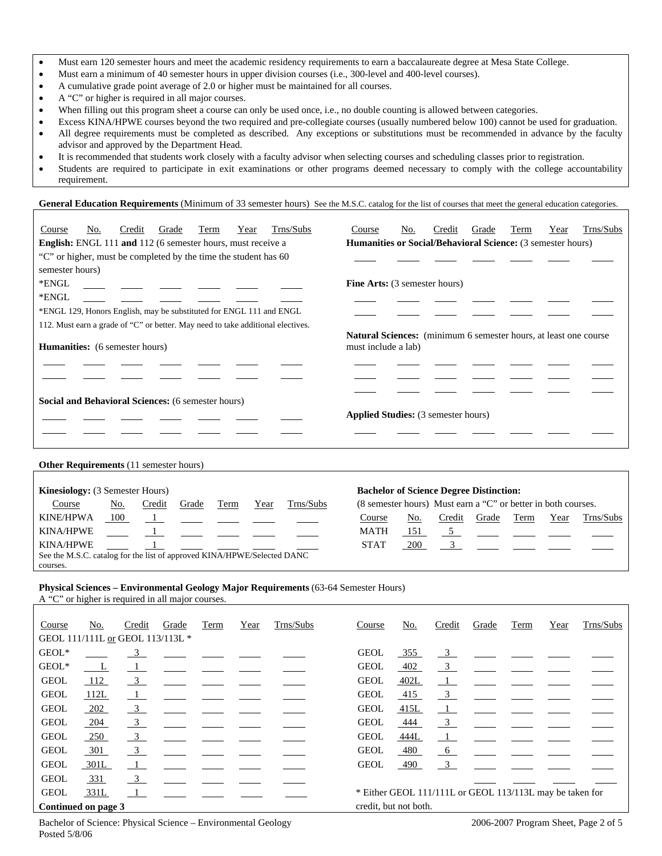- Must earn 120 semester hours and meet the academic residency requirements to earn a baccalaureate degree at Mesa State College.
- Must earn a minimum of 40 semester hours in upper division courses (i.e., 300-level and 400-level courses).
- A cumulative grade point average of 2.0 or higher must be maintained for all courses.
- A "C" or higher is required in all major courses.
- When filling out this program sheet a course can only be used once, i.e., no double counting is allowed between categories.
- Excess KINA/HPWE courses beyond the two required and pre-collegiate courses (usually numbered below 100) cannot be used for graduation.
- All degree requirements must be completed as described. Any exceptions or substitutions must be recommended in advance by the faculty advisor and approved by the Department Head.
- It is recommended that students work closely with a faculty advisor when selecting courses and scheduling classes prior to registration.
- Students are required to participate in exit examinations or other programs deemed necessary to comply with the college accountability requirement.

General Education Requirements (Minimum of 33 semester hours) See the M.S.C. catalog for the list of courses that meet the general education categories.

| Course          | No.                                                                                                                      | Credit | Grade | Term                                                                | Year | Trns/Subs | Course                                                                                         | No. | Credit | Grade | Term | Year | Trns/Subs |
|-----------------|--------------------------------------------------------------------------------------------------------------------------|--------|-------|---------------------------------------------------------------------|------|-----------|------------------------------------------------------------------------------------------------|-----|--------|-------|------|------|-----------|
|                 |                                                                                                                          |        |       | <b>English:</b> ENGL 111 and 112 (6 semester hours, must receive a  |      |           | <b>Humanities or Social/Behavioral Science:</b> (3 semester hours)                             |     |        |       |      |      |           |
|                 |                                                                                                                          |        |       | "C" or higher, must be completed by the time the student has 60     |      |           |                                                                                                |     |        |       |      |      |           |
| semester hours) |                                                                                                                          |        |       |                                                                     |      |           |                                                                                                |     |        |       |      |      |           |
| *ENGL           |                                                                                                                          |        |       |                                                                     |      |           | <b>Fine Arts:</b> (3 semester hours)                                                           |     |        |       |      |      |           |
| *ENGL           |                                                                                                                          |        |       |                                                                     |      |           |                                                                                                |     |        |       |      |      |           |
|                 |                                                                                                                          |        |       | *ENGL 129, Honors English, may be substituted for ENGL 111 and ENGL |      |           |                                                                                                |     |        |       |      |      |           |
|                 |                                                                                                                          |        |       |                                                                     |      |           |                                                                                                |     |        |       |      |      |           |
|                 | 112. Must earn a grade of "C" or better. May need to take additional electives.<br><b>Humanities:</b> (6 semester hours) |        |       |                                                                     |      |           | <b>Natural Sciences:</b> (minimum 6 semester hours, at least one course<br>must include a lab) |     |        |       |      |      |           |
|                 |                                                                                                                          |        |       |                                                                     |      |           |                                                                                                |     |        |       |      |      |           |
|                 |                                                                                                                          |        |       | Social and Behavioral Sciences: (6 semester hours)                  |      |           |                                                                                                |     |        |       |      |      |           |
|                 |                                                                                                                          |        |       |                                                                     |      |           | <b>Applied Studies:</b> (3 semester hours)                                                     |     |        |       |      |      |           |
|                 |                                                                                                                          |        |       |                                                                     |      |           |                                                                                                |     |        |       |      |      |           |

**Other Requirements** (11 semester hours)

| <b>Kinesiology:</b> (3 Semester Hours) |                                                                         |        |       |      |      |           | <b>Bachelor of Science Degree Distinction:</b>                |     |        |       |      |      |           |
|----------------------------------------|-------------------------------------------------------------------------|--------|-------|------|------|-----------|---------------------------------------------------------------|-----|--------|-------|------|------|-----------|
| Course                                 | No.                                                                     | Credit | Grade | Term | Year | Trns/Subs | (8 semester hours) Must earn a "C" or better in both courses. |     |        |       |      |      |           |
| <b>KINE/HPWA</b>                       | 100                                                                     |        |       |      |      |           | Course                                                        | No. | Credit | Grade | Term | Year | Trns/Subs |
| <b>KINA/HPWE</b>                       |                                                                         |        |       |      |      |           | MATH                                                          |     |        |       |      |      |           |
| KINA/HPWE                              |                                                                         |        |       |      |      |           | <b>STAT</b>                                                   | 200 |        |       |      |      |           |
|                                        | See the M.S.C. catalog for the list of approved KINA/HPWE/Selected DANC |        |       |      |      |           |                                                               |     |        |       |      |      |           |
| courses.                               |                                                                         |        |       |      |      |           |                                                               |     |        |       |      |      |           |

### **Physical Sciences – Environmental Geology Major Requirements** (63-64 Semester Hours)

A "C" or higher is required in all major courses.

| Course                           | No.          | Credit                  | Grade | Term | Year | Trns/Subs | Course                | No.  | Credit                  | Grade                                                    | Term | Year | Trns/Subs |
|----------------------------------|--------------|-------------------------|-------|------|------|-----------|-----------------------|------|-------------------------|----------------------------------------------------------|------|------|-----------|
| GEOL 111/111L or GEOL 113/113L * |              |                         |       |      |      |           |                       |      |                         |                                                          |      |      |           |
| GEOL*                            |              | 3                       |       |      |      |           | <b>GEOL</b>           | 355  | $\frac{3}{2}$           |                                                          |      |      |           |
| GEOL*                            | $\mathbf{L}$ |                         |       |      |      |           | <b>GEOL</b>           | 402  | $\overline{3}$          |                                                          |      |      |           |
| <b>GEOL</b>                      | 112          | 3                       |       |      |      |           | <b>GEOL</b>           | 402L |                         |                                                          |      |      |           |
| <b>GEOL</b>                      | 112L         | $\mathbf{1}$            |       |      |      |           | <b>GEOL</b>           | 415  | $\overline{\mathbf{3}}$ |                                                          |      |      |           |
| <b>GEOL</b>                      | 202          | $\overline{\mathbf{3}}$ |       |      |      |           | <b>GEOL</b>           | 415L | $\perp$                 |                                                          |      |      |           |
| <b>GEOL</b>                      | 204          | $\overline{\mathbf{3}}$ |       |      |      |           | <b>GEOL</b>           | 444  | $\overline{\mathbf{3}}$ |                                                          |      |      |           |
| <b>GEOL</b>                      | 250          | $\overline{\mathbf{3}}$ |       |      |      |           | <b>GEOL</b>           | 444L |                         |                                                          |      |      |           |
| <b>GEOL</b>                      | $-301$       | $\overline{\mathbf{3}}$ |       |      |      |           | <b>GEOL</b>           | 480  | $-6$                    |                                                          |      |      |           |
| <b>GEOL</b>                      | 301L         | $\overline{1}$          |       |      |      |           | <b>GEOL</b>           | 490  | $\overline{\mathbf{3}}$ |                                                          |      |      |           |
| <b>GEOL</b>                      | <u>331</u>   | $\overline{\mathbf{3}}$ |       |      |      |           |                       |      |                         |                                                          |      |      |           |
| <b>GEOL</b>                      | 331L         |                         |       |      |      |           |                       |      |                         | * Either GEOL 111/111L or GEOL 113/113L may be taken for |      |      |           |
| Continued on page 3              |              |                         |       |      |      |           | credit, but not both. |      |                         |                                                          |      |      |           |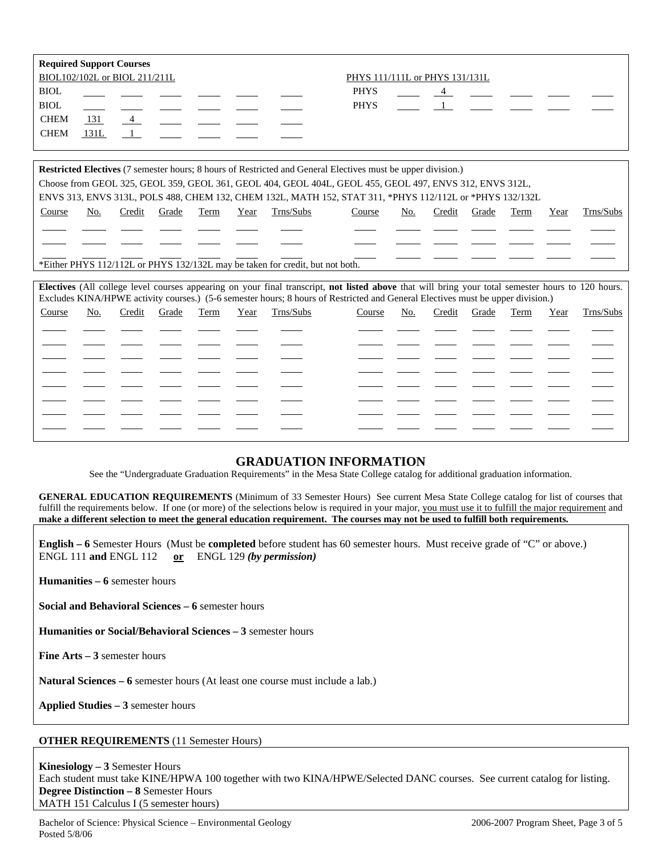|             | <b>Required Support Courses</b> |  |  |                                |
|-------------|---------------------------------|--|--|--------------------------------|
|             | BIOL102/102L or BIOL 211/211L   |  |  | PHYS 111/111L or PHYS 131/131L |
| <b>BIOL</b> |                                 |  |  | <b>PHYS</b>                    |
| <b>BIOL</b> |                                 |  |  | <b>PHYS</b>                    |
| <b>CHEM</b> | 131                             |  |  |                                |
| <b>CHEM</b> | 131L                            |  |  |                                |
|             |                                 |  |  |                                |

|        | <b>Restricted Electives</b> (7 semester hours; 8 hours of Restricted and General Electives must be upper division.) |        |       |      |      |           |                                                                                                          |     |        |       |      |      |           |
|--------|---------------------------------------------------------------------------------------------------------------------|--------|-------|------|------|-----------|----------------------------------------------------------------------------------------------------------|-----|--------|-------|------|------|-----------|
|        | Choose from GEOL 325, GEOL 359, GEOL 361, GEOL 404, GEOL 404L, GEOL 455, GEOL 497, ENVS 312, ENVS 312L,             |        |       |      |      |           |                                                                                                          |     |        |       |      |      |           |
|        |                                                                                                                     |        |       |      |      |           | ENVS 313, ENVS 313L, POLS 488, CHEM 132, CHEM 132L, MATH 152, STAT 311, *PHYS 112/112L or *PHYS 132/132L |     |        |       |      |      |           |
| Course | No.                                                                                                                 | Credit | Grade | Term | Year | Trns/Subs | Course                                                                                                   | No. | Credit | Grade | Term | Year | Trns/Subs |
|        |                                                                                                                     |        |       |      |      |           |                                                                                                          |     |        |       |      |      |           |
|        |                                                                                                                     |        |       |      |      |           |                                                                                                          |     |        |       |      |      |           |
|        | *Either DHVS 112/112L or DHVS 132/132L may be taken for credit but not both                                         |        |       |      |      |           |                                                                                                          |     |        |       |      |      |           |

\*Either PHYS 112/112L or PHYS 132/132L may be taken for credit, but not both.

|        | Electives (All college level courses appearing on your final transcript, not listed above that will bring your total semester hours to 120 hours.<br>Excludes KINA/HPWE activity courses.) (5-6 semester hours; 8 hours of Restricted and General Electives must be upper division.) |        |       |      |      |           |        |     |        |       |      |      |           |
|--------|--------------------------------------------------------------------------------------------------------------------------------------------------------------------------------------------------------------------------------------------------------------------------------------|--------|-------|------|------|-----------|--------|-----|--------|-------|------|------|-----------|
| Course | No.                                                                                                                                                                                                                                                                                  | Credit | Grade | Term | Year | Trns/Subs | Course | No. | Credit | Grade | Term | Year | Trns/Subs |
|        |                                                                                                                                                                                                                                                                                      |        |       |      |      |           |        |     |        |       |      |      |           |
|        |                                                                                                                                                                                                                                                                                      |        |       |      |      |           |        |     |        |       |      |      |           |
|        |                                                                                                                                                                                                                                                                                      |        |       |      |      |           |        |     |        |       |      |      |           |
|        |                                                                                                                                                                                                                                                                                      |        |       |      |      |           |        |     |        |       |      |      |           |
|        |                                                                                                                                                                                                                                                                                      |        |       |      |      |           |        |     |        |       |      |      |           |
|        |                                                                                                                                                                                                                                                                                      |        |       |      |      |           |        |     |        |       |      |      |           |
|        |                                                                                                                                                                                                                                                                                      |        |       |      |      |           |        |     |        |       |      |      |           |
|        |                                                                                                                                                                                                                                                                                      |        |       |      |      |           |        |     |        |       |      |      |           |

# **GRADUATION INFORMATION**

See the "Undergraduate Graduation Requirements" in the Mesa State College catalog for additional graduation information.

**GENERAL EDUCATION REQUIREMENTS** (Minimum of 33 Semester Hours) See current Mesa State College catalog for list of courses that fulfill the requirements below. If one (or more) of the selections below is required in your major, you must use it to fulfill the major requirement and **make a different selection to meet the general education requirement. The courses may not be used to fulfill both requirements.**

**English – 6** Semester Hours (Must be **completed** before student has 60 semester hours. Must receive grade of "C" or above.) ENGL 111 **and** ENGL 112 **or** ENGL 129 *(by permission)*

**Humanities – 6** semester hours

**Social and Behavioral Sciences – 6** semester hours

**Humanities or Social/Behavioral Sciences – 3** semester hours

**Fine Arts – 3** semester hours

**Natural Sciences – 6** semester hours (At least one course must include a lab.)

**Applied Studies – 3** semester hours

### **OTHER REQUIREMENTS** (11 Semester Hours)

**Kinesiology – 3** Semester Hours Each student must take KINE/HPWA 100 together with two KINA/HPWE/Selected DANC courses. See current catalog for listing. **Degree Distinction – 8** Semester Hours MATH 151 Calculus I (5 semester hours)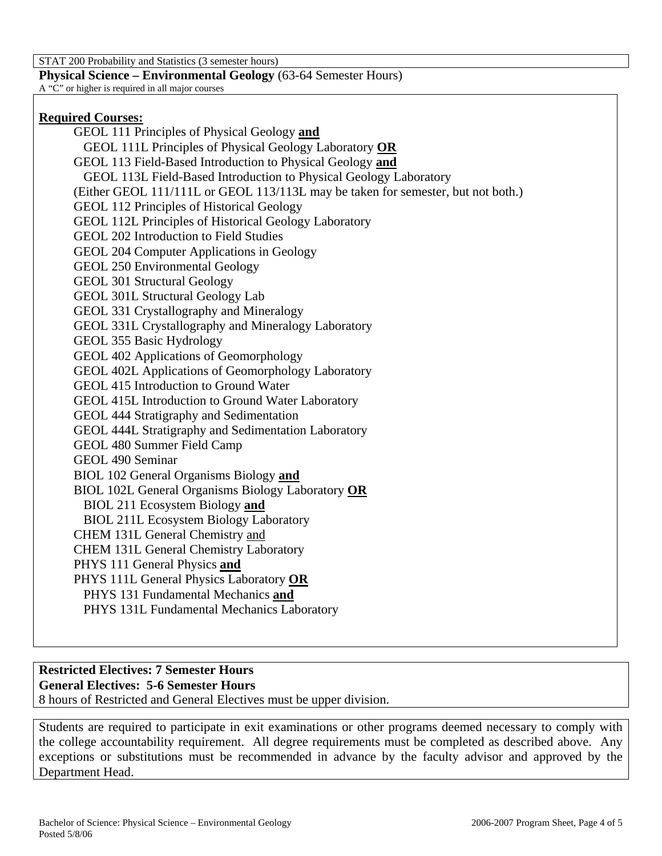STAT 200 Probability and Statistics (3 semester hours)

**Physical Science – Environmental Geology** (63-64 Semester Hours)

A "C" or higher is required in all major courses

## **Required Courses:**

GEOL 111 Principles of Physical Geology **and** GEOL 111L Principles of Physical Geology Laboratory **OR** GEOL 113 Field-Based Introduction to Physical Geology **and** GEOL 113L Field-Based Introduction to Physical Geology Laboratory (Either GEOL 111/111L or GEOL 113/113L may be taken for semester, but not both.) GEOL 112 Principles of Historical Geology GEOL 112L Principles of Historical Geology Laboratory GEOL 202 Introduction to Field Studies GEOL 204 Computer Applications in Geology GEOL 250 Environmental Geology GEOL 301 Structural Geology GEOL 301L Structural Geology Lab GEOL 331 Crystallography and Mineralogy GEOL 331L Crystallography and Mineralogy Laboratory GEOL 355 Basic Hydrology GEOL 402 Applications of Geomorphology GEOL 402L Applications of Geomorphology Laboratory GEOL 415 Introduction to Ground Water GEOL 415L Introduction to Ground Water Laboratory GEOL 444 Stratigraphy and Sedimentation GEOL 444L Stratigraphy and Sedimentation Laboratory GEOL 480 Summer Field Camp GEOL 490 Seminar BIOL 102 General Organisms Biology **and** BIOL 102L General Organisms Biology Laboratory **OR** BIOL 211 Ecosystem Biology **and** BIOL 211L Ecosystem Biology Laboratory CHEM 131L General Chemistry and CHEM 131L General Chemistry Laboratory PHYS 111 General Physics **and** PHYS 111L General Physics Laboratory **OR** PHYS 131 Fundamental Mechanics **and** PHYS 131L Fundamental Mechanics Laboratory

# **Restricted Electives: 7 Semester Hours**

**General Electives: 5-6 Semester Hours** 

8 hours of Restricted and General Electives must be upper division.

Students are required to participate in exit examinations or other programs deemed necessary to comply with the college accountability requirement. All degree requirements must be completed as described above. Any exceptions or substitutions must be recommended in advance by the faculty advisor and approved by the Department Head.